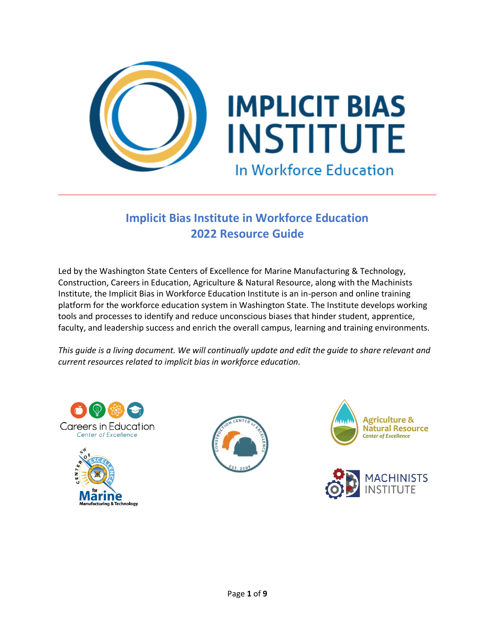

# **Implicit Bias Institute in Workforce Education 2022 Resource Guide**

Led by the Washington State Centers of Excellence for Marine Manufacturing & Technology, Construction, Careers in Education, Agriculture & Natural Resource, along with the Machinists Institute, the Implicit Bias in Workforce Education Institute is an in-person and online training platform for the workforce education system in Washington State. The Institute develops working tools and processes to identify and reduce unconscious biases that hinder student, apprentice, faculty, and leadership success and enrich the overall campus, learning and training environments.

*This guide is a living document. We will continually update and edit the guide to share relevant and current resources related to implicit bias in workforce education.*









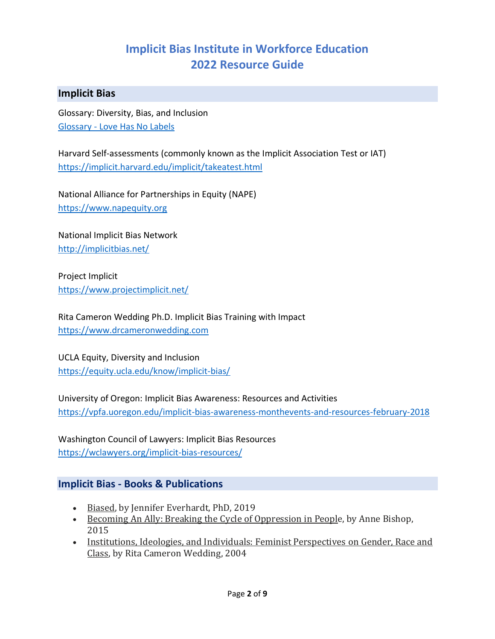# **Implicit Bias Institute in Workforce Education 2022 Resource Guide**

## **Implicit Bias**

Glossary: Diversity, Bias, and Inclusion Glossary - [Love Has No Labels](https://lovehasnolabels.com/resources/glossary?gclid=Cj0KCQiA3NX_BRDQARIsALA3fILNupqNtaOYbHkjVtF8VcuvhTLKWsXwVLuyEY45e6TIZ5ZCEgpw0f4aAvZiEALw_wcB) 

Harvard Self-assessments (commonly known as the Implicit Association Test or IAT) <https://implicit.harvard.edu/implicit/takeatest.html>

National Alliance for Partnerships in Equity (NAPE) [https://www.napequity.org](https://www.napequity.org/)

National Implicit Bias Network <http://implicitbias.net/>

Project Implicit <https://www.projectimplicit.net/>

Rita Cameron Wedding Ph.D. Implicit Bias Training with Impact [https://www.drcameronwedding.com](https://www.drcameronwedding.com/)

UCLA Equity, Diversity and Inclusion <https://equity.ucla.edu/know/implicit-bias/>

University of Oregon: Implicit Bias Awareness: Resources and Activities <https://vpfa.uoregon.edu/implicit-bias-awareness-monthevents-and-resources-february-2018>

Washington Council of Lawyers: Implicit Bias Resources <https://wclawyers.org/implicit-bias-resources/>

## **Implicit Bias - Books & Publications**

- Biased, by Jennifer Everhardt, PhD, 2019
- Becoming An Ally: Breaking the Cycle of Oppression in People, by Anne Bishop, 2015
- Institutions, Ideologies, and Individuals: Feminist Perspectives on Gender, Race and Class, by Rita Cameron Wedding, 2004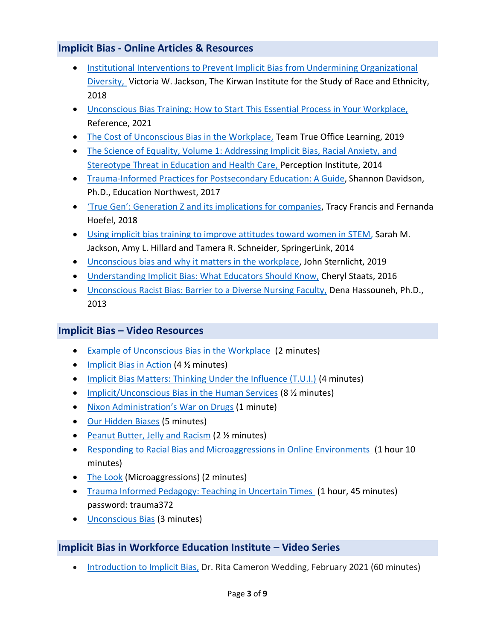## **Implicit Bias - Online Articles & Resources**

- [Institutional Interventions to Prevent Implicit Bias from Undermining Organizational](https://kirwaninstitute.osu.edu/media-releases/combatting-implicit-bias-workplace)  [Diversity,](https://kirwaninstitute.osu.edu/media-releases/combatting-implicit-bias-workplace) Victoria W. Jackson, The Kirwan Institute for the Study of Race and Ethnicity, 2018
- [Unconscious Bias Training: How to Start This Essential Process in Your Workplace,](https://www.reference.com/world-view/how-to-start-unconscious-bias-training-workplace) Reference, 2021
- [The Cost of Unconscious Bias in the Workplace,](https://www.trueofficelearning.com/blog/unconscious-bias-in-the-workplace-what-it-costs-your-bottom-line) Team True Office Learning, 2019
- The Science of Equality, Volume 1: Addressing Implicit Bias, Racial Anxiety, and [Stereotype Threat in Education and Health Care,](https://equity.ucla.edu/wp-content/uploads/2019/12/Science-of-Equality-Vol.-1-Perception-Institute-2014.pdf) Perception Institute, 2014
- [Trauma-Informed](https://educationnorthwest.org/sites/default/files/resources/trauma-informed-practices-postsecondary-508.pdf) Practices for Postsecondary Education: A Guide, Shannon Davidson, Ph.D., Education Northwest, 2017
- ['True Gen': Generation Z and its implications for companies](https://www.mckinsey.com/industries/consumer-packaged-goods/our-insights/true-gen-generation-z-and-its-implications-for-companies), Tracy Francis and Fernanda Hoefel, 2018
- [Using implicit bias training to improve attitudes toward women in STEM,](https://link.springer.com/article/10.1007/s11218-014-9259-5) Sarah M. Jackson, Amy L. Hillard and Tamera R. Schneider, SpringerLink, 2014
- [Unconscious bias and why it matters in the workplace,](https://www.skagit.org/news/p/item/20704/unconscious-bias-and-why-it-matters-in-the-workplace) John Sternlicht, 2019
- [Understanding Implicit Bias: What Educators Should Know,](https://eric.ed.gov/?id=EJ1086492) Cheryl Staats, 2016
- [Unconscious Racist Bias: Barrier to a Diverse Nursing Faculty,](https://www.healio.com/nursing/journals/jne/2013-4-52-4/%7B6676ad09-7aca-4105-bada-73b6be8bb322%7D/unconscious-racist-bias-barrier-to-a-diverse-nursing-faculty) Dena Hassouneh, Ph.D., 2013

## **Implicit Bias – Video Resources**

- [Example of Unconscious Bias in the Workplace](https://www.youtube.com/watch?v=ufu_RlvACNM) (2 minutes)
- [Implicit Bias in Action](https://www.youtube.com/watch?v=u3aCKTfei_4) (4 % minutes)
- [Implicit Bias Matters: Thinking Under the Influence \(T.U.I.\)](https://www.youtube.com/watch?v=1gi0_p_1sfY) (4 minutes)
- [Implicit/Unconscious Bias in the Human Services](https://www.youtube.com/watch?v=bUDlMWVLXGk) (8 % minutes)
- [Nixon Administration's War on Drugs](https://www.youtube.com/watch?feature=oembed&v=a2nBUXc83oI) (1 minute)
- [Our Hidden Biases](https://www.youtube.com/watch?v=ZWgVs4qj1ho) (5 minutes)
- [Peanut Butter, Jelly and Racism](https://www.youtube.com/watch?v=1JVN2qWSJF4) (2 % minutes)
- Responding to [Racial Bias and Microaggressions in Online Environments](https://nam04.safelinks.protection.outlook.com/?url=https%3A%2F%2Fwww.youtube.com%2Fwatch%3Fv%3D9cEWQJ32nqU&data=02%7C01%7C%7C78f3b5a7894e494a86fc08d7fb840b48%7C02d8ff38d7114e31a9156cb5cff788df%7C0%7C0%7C637254416847665919&sdata=W%2FXVwWzYs1aNtNh64QAoZ1vJo10iVkXcC3vil8tSwT0%3D&reserved=0) (1 hour 10 minutes)
- [The Look](https://youtu.be/bxZBtWGYV1c) (Microaggressions) (2 minutes)
- [Trauma Informed Pedagogy: Teaching in Uncertain Times](https://nam04.safelinks.protection.outlook.com/?url=http%3A%2F%2Fseminars.magnaonlinemedia.com%2Ftrauma-informed-pedagogy-teaching-in-uncertain-times%2F&data=02%7C01%7C%7C78f3b5a7894e494a86fc08d7fb840b48%7C02d8ff38d7114e31a9156cb5cff788df%7C0%7C0%7C637254416847695894&sdata=XKbK6lchTEEU%2BmPM%2Fd4u1bBkCOhCbZKQ3ndM7Y%2FPH5A%3D&reserved=0) (1 hour, 45 minutes) password: trauma372
- [Unconscious Bias](https://www.youtube.com/watch?v=rspZv2a0Pp8) (3 minutes)

# **Implicit Bias in Workforce Education Institute – Video Series**

• [Introduction](https://youtu.be/qiiwB9ixu5s) to Implicit Bias, Dr. Rita Cameron Wedding, February 2021 (60 minutes)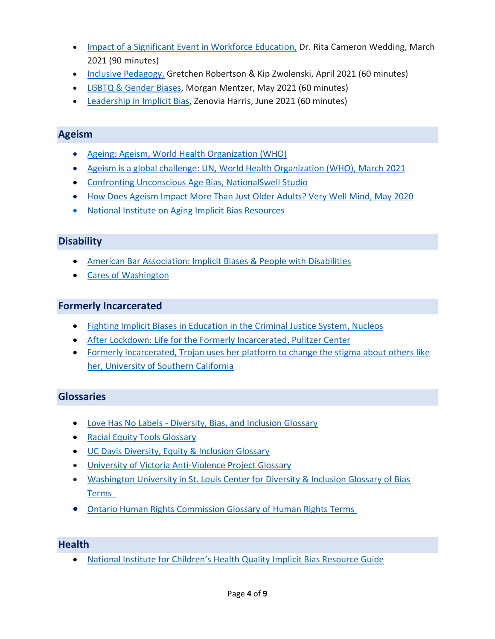- Impact of a Significant Event in [Workforce](https://www.youtube.com/watch?v=6U-g_pscTkg) Education, Dr. Rita Cameron Wedding, March 2021 (90 minutes)
- Inclusive [Pedagogy,](https://youtu.be/AT2EuO9t1FA) Gretchen Robertson & Kip Zwolenski, April 2021 (60 minutes)
- LGBTQ & [Gender](https://youtu.be/hKDGMj9FUqg) Biases, Morgan Mentzer, May 2021 (60 minutes)
- [Leadership](https://youtu.be/2pMrNRJQuPk) in Implicit Bias, Zenovia Harris, June 2021 (60 minutes)

## **Ageism**

- [Ageing: Ageism, World Health Organization \(WHO\)](https://www.who.int/news-room/q-a-detail/ageing-ageism)
- [Ageism is a global challenge: UN, World Health Organization \(WHO\), March 2021](https://www.who.int/news/item/18-03-2021-ageism-is-a-global-challenge-un)
- [Confronting Unconscious Age Bias, NationalSwell Studio](https://nationswell.com/campaigns/confronting-unconscious-age-bias/)
- [How Does Ageism Impact More Than Just Older Adults? Very Well Mind, May 2020](https://www.verywellmind.com/what-is-ageism-2794817)
- [National Institute on Aging Implicit Bias Resources](https://www.nia.nih.gov/research/alzheimers-dementia-outreach-recruitment-engagement-resources/implicit-bias-resources)

## **Disability**

- [American Bar Association: Implicit Biases & People with Disabilities](https://www.americanbar.org/groups/diversity/disabilityrights/resources/implicit_bias/)
- [Cares of Washington](https://www.caresofwa.org/)

#### **Formerly Incarcerated**

- [Fighting Implicit Biases in Education in the Criminal Justice System, Nucleos](https://nucleos.com/news/implicit-biases)
- [After Lockdown: Life for the Formerly Incarcerated, Pulitzer Center](https://pulitzercenter.org/projects/after-lockdown-life-formerly-incarcerated)
- [Formerly incarcerated, Trojan uses her platform to change the stigma about others like](https://news.usc.edu/196171/unchained-scholars-break-barriers-on-hiring-formerly-incarcerated/)  [her, University of Southern California](https://news.usc.edu/196171/unchained-scholars-break-barriers-on-hiring-formerly-incarcerated/)

## **Glossaries**

- Love Has No Labels [Diversity, Bias, and Inclusion Glossary](https://lovehasnolabels.com/resources/glossary?gclid=Cj0KCQiA3NX_BRDQARIsALA3fILNupqNtaOYbHkjVtF8VcuvhTLKWsXwVLuyEY45e6TIZ5ZCEgpw0f4aAvZiEALw_wcB)
- [Racial Equity Tools Glossary](https://www.racialequitytools.org/glossary)
- [UC Davis Diversity, Equity & Inclusion Glossary](https://diversity.ucdavis.edu/about/glossary)
- University [of Victoria Anti-Violence Project Glossary](https://www.antiviolenceproject.org/glossary/#microaggressions)
- [Washington University in St. Louis Center for Diversity & Inclusion Glossary of Bias](https://students.wustl.edu/glossary-bias-terms/)  [Terms](https://students.wustl.edu/glossary-bias-terms/)
- [Ontario Human Rights Commission Glossary of Human Rights Terms](https://www.ohrc.on.ca/en/teaching-human-rights-ontario-guide-ontario-schools/appendix-1-glossary-human-rights-terms)

#### **Health**

• [National Institute for Children's Health Quality](https://www.nichq.org/sites/default/files/resource-file/Implicit%20Bias%20Resource_Final_0.pdf) Implicit Bias Resource Guide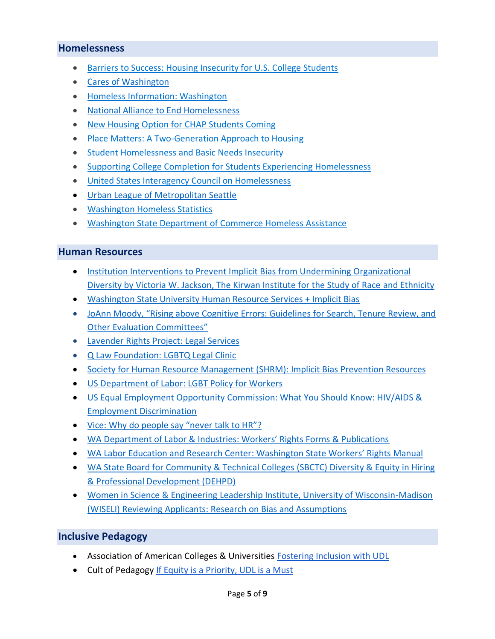#### **Homelessness**

- [Barriers to Success: Housing Insecurity for U.S. College Students](http://www.huduser.gov/portal/periodicals/insight/insight_2.pdf)
- [Cares of Washington](https://www.caresofwa.org/)
- [Homeless Information: Washington](https://www.hud.gov/states/washington/homeless)
- [National Alliance to End Homelessness](/Users/kim.davis/Documents/2021-2022/IMPLICIT%20BIAS/RESOURCES/•%09https:/endhomelessness.org/resource/racial-equity-resources)
- [New Housing Option for CHAP Students Coming](https://www.tacomacc.edu/about/newsroom/chap_housing_option)
- [Place Matters: A Two-Generation Approach to Housing](https://ascend.aspeninstitute.org/resources/place-matters-a-two-generation-approach-to-housing/)
- [Student Homelessness and Basic Needs Insecurity](https://www.bestcolleges.com/resources/homeless-student-guide/)
- [Supporting College Completion for Students Experiencing Homelessness](https://nche.ed.gov/wp-content/uploads/2018/10/he-success.pdf)
- [United States Interagency Council on Homelessness](http://www.usich.gov/)
- [Urban League of Metropolitan Seattle](https://urbanleague.org/)
- [Washington Homeless Statistics](https://www.usich.gov/homelessness-statistics/wa/)
- [Washington State Department of Commerce Homeless Assistance](https://www.commerce.wa.gov/serving-communities/homelessness/)

#### **Human Resources**

- [Institution Interventions to Prevent Implicit Bias from Undermining Organizational](https://kirwaninstitute.osu.edu/media-releases/combatting-implicit-bias-workplace)  [Diversity by Victoria W. Jackson, The Kirwan Institute for the Study of Race and Ethnicity](https://kirwaninstitute.osu.edu/media-releases/combatting-implicit-bias-workplace)
- [Washington State University Human Resource Services + Implicit Bias](https://hrs.wsu.edu/managers/recruitment-toolkit/implicit-bias/)
- [JoAnn Moody, "Rising above Cognitive Errors: Guidelines for Search, Tenure Review, and](http://www.ccas.net/files/ADVANCE/Moody%20Rising%20above%20Cognitive%20Errors%20List.pdf)  [Other Evaluation Committees"](http://www.ccas.net/files/ADVANCE/Moody%20Rising%20above%20Cognitive%20Errors%20List.pdf)
- [Lavender Rights Project: Legal Services](https://www.lavenderrightsproject.org/services/legal-services)
- [Q Law Foundation: LGBTQ Legal Clinic](https://www.qlawfoundation.org/lgbtq-legal-clinic.html)
- Society for Human Resource Management [\(SHRM\): Implicit Bias Prevention Resources](https://www.shrm.org/hr-today/news/hr-news/pages/implicit-bias-prevention-resources.aspx)
- [US Department of Labor: LGBT Policy for Workers](https://www.dol.gov/agencies/oasp/resources/lgbt-workers)
- US Equal Employment Opportunity [Commission: What You Should Know: HIV/AIDS &](https://www.eeoc.gov/laws/guidance/what-you-should-know-hivaids-employment-discrimination)  [Employment Discrimination](https://www.eeoc.gov/laws/guidance/what-you-should-know-hivaids-employment-discrimination)
- [Vice: Why do people say "never talk to HR"?](https://www.vice.com/en/article/akgmnj/everything-you-should-know-before-talking-to-hr-about-a-problem-at-work)
- [WA Department of Labor & Industries: Workers' Rights Forms & Publications](https://www.lni.wa.gov/workers-rights/)
- [WA Labor Education and Research Center: Washington State Workers' Rights Manual](https://rightsatworkwa.org/full-manual/)
- WA State Board for Community & Technical Colleges (SBCTC) Diversity & Equity in Hiring [& Professional Development \(DEHPD\)](https://www.governor.wa.gov/sites/default/files/documents/DiversityEquityHiringandDevelopment_03-21-2019.pdf)
- [Women in Science & Engineering Leadership Institute, University of Wisconsin-Madison](https://wiseli.wisc.edu/wp-content/uploads/sites/662/2018/10/BiasBrochure_3rdEd.pdf)  [\(WISELI\) Reviewing Applicants: Research on Bias and Assumptions](https://wiseli.wisc.edu/wp-content/uploads/sites/662/2018/10/BiasBrochure_3rdEd.pdf)

## **Inclusive Pedagogy**

- Association of American Colleges & Universities [Fostering Inclusion with UDL](https://www.aacu.org/diversitydemocracy/2014/fall/kelly)
- Cult of Pedagogy If Equity is a [Priority, UDL is a Must](https://www.cultofpedagogy.com/udl-equity/)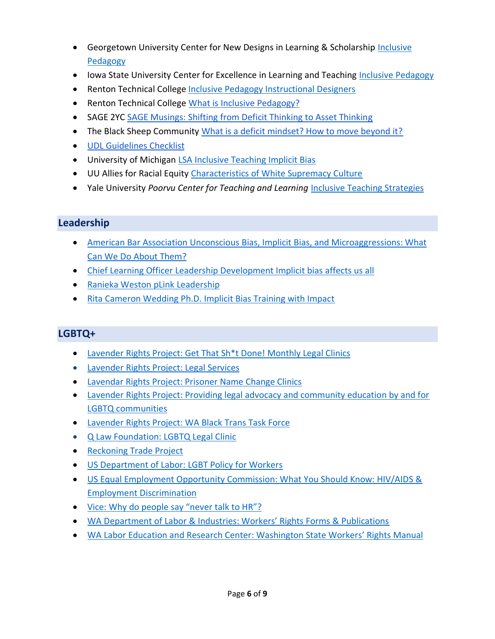- Georgetown University Center for New Designs in Learning & Scholarship [Inclusive](https://cndls.georgetown.edu/inclusive-pedagogy/)  [Pedagogy](https://cndls.georgetown.edu/inclusive-pedagogy/)
- Iowa State University Center for Excellence in Learning and Teaching [Inclusive Pedagogy](https://www.celt.iastate.edu/teaching/creating-an-inclusive-classroom/inclusive-teaching-resources/inclusive-pedagogy/)
- Renton Technical College [Inclusive Pedagogy Instructional Designers](https://www.rtc.edu/inclusive-pedagogy-instructional-designers)
- Renton Technical College [What is Inclusive Pedagogy?](https://sites.google.com/view/rtc-citl/support/IPID-ideas)
- SAGE 2YC [SAGE Musings: Shifting from Deficit Thinking to Asset Thinking](https://serc.carleton.edu/sage2yc/musings/deficit_thinking.html)
- The Black Sheep Community [What is a deficit mindset? How to move beyond it?](https://www.theblacksheep.community/deficit-mindset/)
- [UDL Guidelines Checklist](https://wvde.state.wv.us/osp/UDL/7.%20UDL%20Guidelines%20Checklist.pdf)
- University of Michigan [LSA Inclusive Teaching Implicit Bias](https://sites.lsa.umich.edu/inclusive-teaching/implicit-bias/)
- UU Allies for Racial Equity [Characteristics of White Supremacy Culture](https://www.uuare.org/cwsc/)
- Yale University *Poorvu Center for Teaching and Learning* [Inclusive Teaching Strategies](https://poorvucenter.yale.edu/InclusiveTeachingStrategies)

## **Leadership**

- American Bar Association [Unconscious Bias, Implicit Bias, and Microaggressions: What](https://www.americanbar.org/groups/gpsolo/publications/gp_solo/2019/july-august/unconscious-bias-implicit-bias-microaggressions-what-can-we-do-about-them/)  [Can We Do About Them?](https://www.americanbar.org/groups/gpsolo/publications/gp_solo/2019/july-august/unconscious-bias-implicit-bias-microaggressions-what-can-we-do-about-them/)
- Chief Learning Officer [Leadership Development Implicit bias affects us all](https://www.chieflearningofficer.com/2020/09/28/implicit-bias-affects-us-all/)
- [Ranieka Weston pLink](https://plinkleadership.com/about-us/ranieka-weston/) Leadership
- [Rita Cameron Wedding Ph.D. Implicit Bias Training with Impact](https://www.drcameronwedding.com/)

## **LGBTQ+**

- [Lavender Rights Project: Get That Sh\\*t Done! Monthly Legal Clinics](https://www.lavenderrightsproject.org/legal-clinics)
- [Lavender Rights Project: Legal Services](https://www.lavenderrightsproject.org/services/legal-services)
- [Lavendar Rights Project: Prisoner Name Change Clinics](https://www.lavenderrightsproject.org/prisoner-name-change-clinics)
- [Lavender Rights Project: Providing legal advocacy and community education by and for](https://www.lavenderrightsproject.org/)  [LGBTQ communities](https://www.lavenderrightsproject.org/)
- [Lavender Rights Project: WA Black Trans Task Force](https://www.lavenderrightsproject.org/wa-bttf)
- [Q Law Foundation: LGBTQ Legal Clinic](https://www.qlawfoundation.org/lgbtq-legal-clinic.html)
- [Reckoning Trade Project](https://reckoningtradeproject.org/)
- [US Department of Labor: LGBT Policy for Workers](https://www.dol.gov/agencies/oasp/resources/lgbt-workers)
- [US Equal Employment Opportunity Commission: What You Should Know: HIV/AIDS &](https://www.eeoc.gov/laws/guidance/what-you-should-know-hivaids-employment-discrimination)  [Employment Discrimination](https://www.eeoc.gov/laws/guidance/what-you-should-know-hivaids-employment-discrimination)
- [Vice: Why do people say "never talk to HR"?](https://www.vice.com/en/article/akgmnj/everything-you-should-know-before-talking-to-hr-about-a-problem-at-work)
- WA Departmen[t of Labor & Industries: Workers' Rights Forms & Publications](https://www.lni.wa.gov/workers-rights/)
- [WA Labor Education and Research Center: Washington State Workers' Rights Manual](https://rightsatworkwa.org/full-manual/)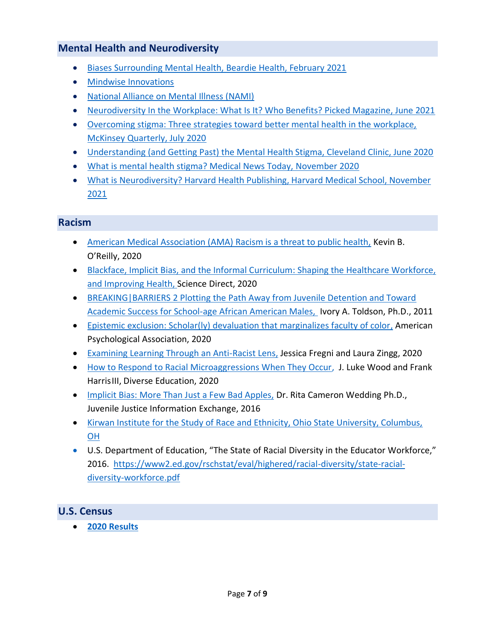## **Mental Health and Neurodiversity**

- [Biases Surrounding Mental Health, Beardie Health, February 2021](https://beardiehealth.com/biases-surrounding-mental-health/)
- [Mindwise Innovations](https://www.mindwise.org/)
- [National Alliance on Mental Illness \(NAMI\)](https://www.nami.org/home)
- [Neurodiversity In the Workplace: What Is It? Who Benefits? Picked Magazine, June 2021](https://www.picked.ai/magazine/neurodiversity-in-the-workplace-what-is-it-who-benefits/)
- [Overcoming stigma: Three strategies toward better mental health in the workplace,](https://www.mckinsey.com/industries/healthcare-systems-and-services/our-insights/overcoming-stigma-three-strategies-toward-better-mental-health-in-the-workplace) [McKinsey Quarterly, July 2020](https://www.mckinsey.com/industries/healthcare-systems-and-services/our-insights/overcoming-stigma-three-strategies-toward-better-mental-health-in-the-workplace)
- [Understanding \(and Getting Past\) the Mental Health Stigma, Cleveland Clinic, June 2020](/Users/kim.davis/Documents/2021-2022/IMPLICIT%20BIAS/RESOURCES/Understanding%20(and%20Getting%20Past)%20the%20Mental%20Health%20Stigma)
- [What is mental health stigma? Medical News Today, November 2020](https://www.medicalnewstoday.com/articles/mental-health-stigma)
- What is Neurodiversity? [Harvard Health Publishing, Harvard Medical School, November](https://www.health.harvard.edu/blog/what-is-neurodiversity-202111232645)  [2021](https://www.health.harvard.edu/blog/what-is-neurodiversity-202111232645)

#### **Racism**

- [American Medical Association \(AMA\) Racism is a threat to public health,](https://www.ama-assn.org/delivering-care/health-equity/ama-racism-threat-public-health) Kevin B. O'Reilly, 2020
- [Blackface, Implicit Bias, and the Informal Curriculum: Shaping the Healthcare Workforce,](https://www.sciencedirect.com/science/article/abs/pii/S0027968420301103)  [and Improving Health,](https://www.sciencedirect.com/science/article/abs/pii/S0027968420301103) Science Direct, 2020
- [BREAKING|BARRIERS 2 Plotting the Path Away from Juvenile Detention and Toward](https://www.youngvoicesmatter.net/downloads/BreakingBarriers.pdf)  [Academic Success for School-age African American Males,](https://www.youngvoicesmatter.net/downloads/BreakingBarriers.pdf) Ivory A. Toldson, Ph.D., 2011
- [Epistemic exclusion: Scholar\(ly\) devaluation that marginalizes faculty of color,](https://psycnet.apa.org/record/2020-13977-001) American Psychological Association, 2020
- [Examining Learning Through an Anti-Racist Lens,](https://www.teachforamerica.org/stories/examining-learning-through-an-anti-racist-lens) Jessica Fregni and Laura Zingg, 2020
- [How to Respond to Racial Microaggressions When They Occur,](https://diverseeducation.com/article/176397/) J. Luke Wood and Frank HarrisIII, Diverse Education, 2020
- [Implicit Bias: More Than Just a Few Bad Apples,](https://jjie.org/2016/06/15/implicit-bias-more-than-just-a-few-bad-apples/) Dr. Rita Cameron Wedding Ph.D., Juvenile Justice Information Exchange, 2016
- [Kirwan Institute for the Study of Race and Ethnicity, Ohio State University, Columbus,](https://kirwaninstitute.osu.edu/)  [OH](https://kirwaninstitute.osu.edu/)
- U.S. Department of Education, "The State of Racial Diversity in the Educator Workforce," 2016. [https://www2.ed.gov/rschstat/eval/highered/racial-diversity/state-racial](https://www2.ed.gov/rschstat/eval/highered/racial-diversity/state-racial-diversity-workforce.pdf)[diversity-workforce.pdf](https://www2.ed.gov/rschstat/eval/highered/racial-diversity/state-racial-diversity-workforce.pdf)

## **U.S. Census**

• **[2020 Results](https://www.census.gov/programs-surveys/decennial-census/decade/2020/2020-census-results.html)**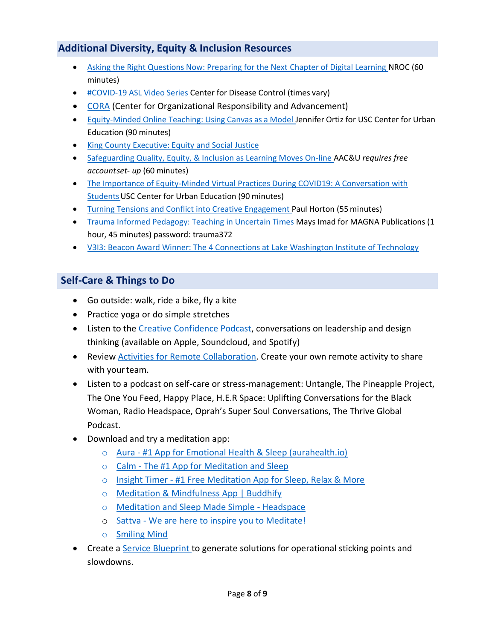# **Additional Diversity, Equity & Inclusion Resources**

- [Asking the Right Questions Now: Preparing for the Next Chapter of Digital Learning N](https://nam04.safelinks.protection.outlook.com/?url=https%3A%2F%2Fnrocnetwork.org%2Fresources%2Fevents%2F2020%2F05%2Fpreparing-for-the-next-chapter-of-digital-learning%2F&data=02%7C01%7C%7C78f3b5a7894e494a86fc08d7fb840b48%7C02d8ff38d7114e31a9156cb5cff788df%7C0%7C0%7C637254416847675911&sdata=aLzmBsg29IN8aBlRuNkqaF%2Bmw%2BegUkWeUsYhXUY42UU%3D&reserved=0)ROC (60 minutes)
- [#COVID-19 ASL Video Series C](https://nam04.safelinks.protection.outlook.com/?url=https%3A%2F%2Fwww.youtube.com%2Fplaylist%3Flist%3DPLvrp9iOILTQatwnqm61jqFrsfUB4RKh6J&data=02%7C01%7C%7C78f3b5a7894e494a86fc08d7fb840b48%7C02d8ff38d7114e31a9156cb5cff788df%7C0%7C0%7C637254416847685901&sdata=GkwY5rpS5PNrDZn3GNS4bQsB9j06uS91UwdWHb1oyMM%3D&reserved=0)enter for Disease Control (times vary)
- [CORA](https://coralearning.org/) (Center for Organizational Responsibility and Advancement)
- [Equity-Minded](https://nam04.safelinks.protection.outlook.com/?url=http%3A%2F%2Fbit.ly%2Fcuewebinar2recording&data=02%7C01%7C%7C78f3b5a7894e494a86fc08d7fb840b48%7C02d8ff38d7114e31a9156cb5cff788df%7C0%7C0%7C637254416847725883&sdata=p9uSPcQaWG0JpN8utnw7jaJwh%2Bb8li%2FINy6yHHRW2FU%3D&reserved=0) Online Teaching: Using Canvas as a Model Jennifer Ortiz for USC Center for Urban Education (90 minutes)
- [King County Executive: Equity and Social Justice](https://kingcounty.gov/elected/executive/equity-social-justice.aspx)
- [Safeguarding Quality, Equity, & Inclusion as Learning Moves On-line A](https://nam04.safelinks.protection.outlook.com/?url=https%3A%2F%2Fwww.aacu.org%2Fevents%2Fwebinar-safeguarding-quality-equity-and-inclusion-learning-moves-online&data=02%7C01%7C%7C78f3b5a7894e494a86fc08d7fb840b48%7C02d8ff38d7114e31a9156cb5cff788df%7C0%7C0%7C637254416847675911&sdata=a%2BirpVyY429vM8Xxn%2FT5Jx8HylFKCQxp42xD9GuvW3s%3D&reserved=0)AC&U *requires free accountset- up* (60 minutes)
- [The Importance of Equity-Minded Virtual Practices During COVID19: A Conversation with](https://nam04.safelinks.protection.outlook.com/?url=http%3A%2F%2Fbit.ly%2Fcuewebinar1recording&data=02%7C01%7C%7C78f3b5a7894e494a86fc08d7fb840b48%7C02d8ff38d7114e31a9156cb5cff788df%7C0%7C0%7C637254416847715888&sdata=CAfWsilrkoPLQP83AZI5z9OWQgIfCKuBCA%2F%2B4bkyfv8%3D&reserved=0)  Students USC Center for Urban Education (90 minutes)
- [Turning Tensions and Conflict into Creative Engagement P](https://nam04.safelinks.protection.outlook.com/?url=https%3A%2F%2Fwww.youtube.com%2Fwatch%3Fv%3D1_7sOW7rpvk%26feature%3Dyoutu.be&data=02%7C01%7C%7C78f3b5a7894e494a86fc08d7fb840b48%7C02d8ff38d7114e31a9156cb5cff788df%7C0%7C0%7C637254416847665919&sdata=yov%2BKGI0Q0UomewBrAGL1SbybCwghvhFN17jHysaj4c%3D&reserved=0)aul Horton (55minutes)
- [Trauma Informed Pedagogy: Teaching in Uncertain Times M](https://nam04.safelinks.protection.outlook.com/?url=http%3A%2F%2Fseminars.magnaonlinemedia.com%2Ftrauma-informed-pedagogy-teaching-in-uncertain-times%2F&data=02%7C01%7C%7C78f3b5a7894e494a86fc08d7fb840b48%7C02d8ff38d7114e31a9156cb5cff788df%7C0%7C0%7C637254416847695894&sdata=XKbK6lchTEEU%2BmPM%2Fd4u1bBkCOhCbZKQ3ndM7Y%2FPH5A%3D&reserved=0)ays Imad for MAGNA Publications (1 hour, 45 minutes) password: trauma372
- V313: Beacon Award Winner: The 4 Connections at Lake Washington Institute of Technology

## **Self-Care & Things to Do**

- Go outside: walk, ride a bike, fly a kite
- Practice yoga or do simple stretches
- Listen to the [Creative Confidence Podcast,](https://nam04.safelinks.protection.outlook.com/?url=https%3A%2F%2Fwww.ideou.com%2Fpages%2Fcreative-confidence-podcast&data=02%7C01%7C%7C78f3b5a7894e494a86fc08d7fb840b48%7C02d8ff38d7114e31a9156cb5cff788df%7C0%7C0%7C637254416847795836&sdata=H1YETWLSOUgJ%2BR153pnPuRzS8N5cMDpJGaiBf%2Bs4XlE%3D&reserved=0) conversations on leadership and design thinking (available on Apple, Soundcloud, and Spotify)
- Review [Activities for Remote Collaboration.](https://nam04.safelinks.protection.outlook.com/?url=https%3A%2F%2Fideou.us11.list-manage.com%2Ftrack%2Fclick%3Fu%3Df40a7e1988bbe38f8334dff3a%26id%3Ddcd2572c42%26e%3D0e337c0384&data=02%7C01%7C%7C78f3b5a7894e494a86fc08d7fb840b48%7C02d8ff38d7114e31a9156cb5cff788df%7C0%7C0%7C637254416847795836&sdata=4r8QmI1Jr%2B3sZ8hGEq7aaDrvM2Dymo2nPn7whYq2FwI%3D&reserved=0) Create your own remote activity to share with your team.
- Listen to a podcast on self-care or stress-management: Untangle, The Pineapple Project, The One You Feed, Happy Place, H.E.R Space: Uplifting Conversations for the Black Woman, Radio Headspace, Oprah's Super Soul Conversations, The Thrive Global Podcast.
- Download and try a meditation app:
	- o Aura [#1 App for Emotional Health & Sleep \(aurahealth.io\)](https://www.aurahealth.io/)
	- o Calm [The #1 App for Meditation and Sleep](https://www.calm.com/)
	- o Insight Timer [#1 Free Meditation App for Sleep, Relax & More](https://insighttimer.com/)
	- o [Meditation & Mindfulness App | Buddhify](https://buddhify.com/)
	- o [Meditation and Sleep Made Simple -](https://www.headspace.com/) Headspace
	- o Sattva [We are here to inspire you to Meditate!](https://www.sattva.life/apps)
	- o [Smiling Mind](https://www.smilingmind.com.au/)
- Create a [Service Blueprint t](https://nam04.safelinks.protection.outlook.com/?url=https%3A%2F%2Fen.wikipedia.org%2Fwiki%2FService_blueprint&data=02%7C01%7C%7C78f3b5a7894e494a86fc08d7fb840b48%7C02d8ff38d7114e31a9156cb5cff788df%7C0%7C0%7C637254416847805836&sdata=ki0wPpN0Q0tmeaR9DccPi8a0d%2BgTVks2%2BYw6iBly4sQ%3D&reserved=0)o generate solutions for operational sticking points and slowdowns.